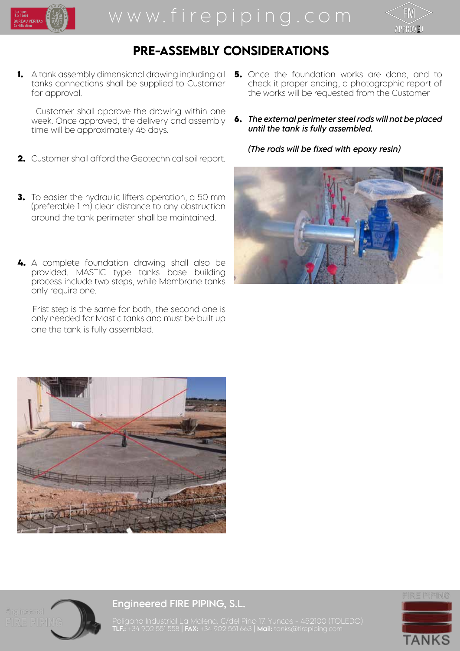



## PRE-ASSEMBLY CONSIDERATIONS

**1.** A tank assembly dimensional drawing including all tanks connections shall be supplied to Customer for approval.

 Customer shall approve the drawing within one week. Once approved, the delivery and assembly time will be approximately 45 days.

- **2.** Customer shall afford the Geotechnical soil report.
- **3.** To easier the hydraulic lifters operation, a 50 mm (preferable 1 m) clear distance to any obstruction around the tank perimeter shall be maintained.
- **4.** A complete foundation drawing shall also be provided. MASTIC type tanks base building process include two steps, while Membrane tanks only require one.

 Frist step is the same for both, the second one is only needed for Mastic tanks and must be built up one the tank is fully assembled.

- **5.** Once the foundation works are done, and to check it proper ending, a photographic report of the works will be requested from the Customer
- **6.** *The external perimeter steel rods will not be placed until the tank is fully assembled.*

*(The rods will be fixed with epoxy resin)*







Engineered FIRE PIPING, S.L.



Polígono Industrial La Malena. C/del Pino 17. Yuncos - 452100 (TOLEDO) **TLF.:** +34 902 551 558 | **FAX:** +34 902 551 663 | **Mail:** tanks@firepiping.com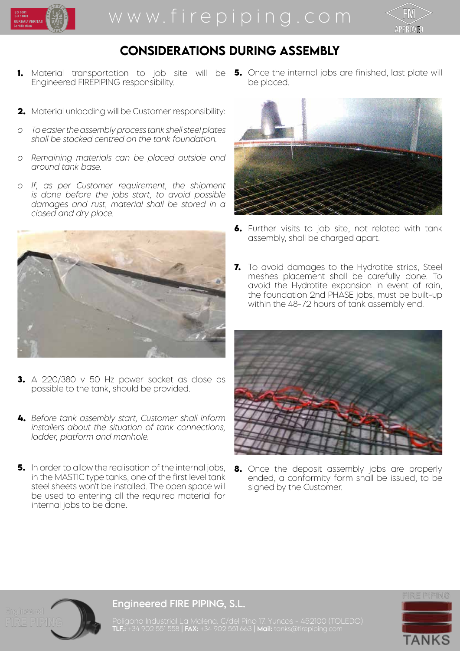



## CONSIDERATIONS DURING ASSEMBLY

- **1.** Material transportation to job site will be **5.** Once the internal jobs are finished, last plate will Engineered FIREPIPING responsibility.
- **2.** Material unloading will be Customer responsibility:
- *o To easier the assembly process tank shell steel plates shall be stacked centred on the tank foundation.*
- *o Remaining materials can be placed outside and around tank base.*
- *o If, as per Customer requirement, the shipment is done before the jobs start, to avoid possible damages and rust, material shall be stored in a closed and dry place.*



- **3.** A 220/380 v 50 Hz power socket as close as possible to the tank, should be provided.
- **4.** *Before tank assembly start, Customer shall inform installers about the situation of tank connections, ladder, platform and manhole.*
- **5.** In order to allow the realisation of the internal jobs, in the MASTIC type tanks, one of the first level tank steel sheets won't be installed. The open space will be used to entering all the required material for internal jobs to be done.

be placed.



- **6.** Further visits to job site, not related with tank assembly, shall be charged apart.
- **7.** To avoid damages to the Hydrotite strips, Steel meshes placement shall be carefully done. To avoid the Hydrotite expansion in event of rain, the foundation 2nd PHASE jobs, must be built-up within the 48-72 hours of tank assembly end.



**8.** Once the deposit assembly jobs are properly ended, a conformity form shall be issued, to be signed by the Customer.



#### Engineered FIRE PIPING, S.L.

FIRE PIPING **TANK** 

Polígono Industrial La Malena. C/del Pino 17. Yuncos - 452100 (TOLEDO) **TLF.:** +34 902 551 558 | **FAX:** +34 902 551 663 | **Mail:** tanks@firepiping.com